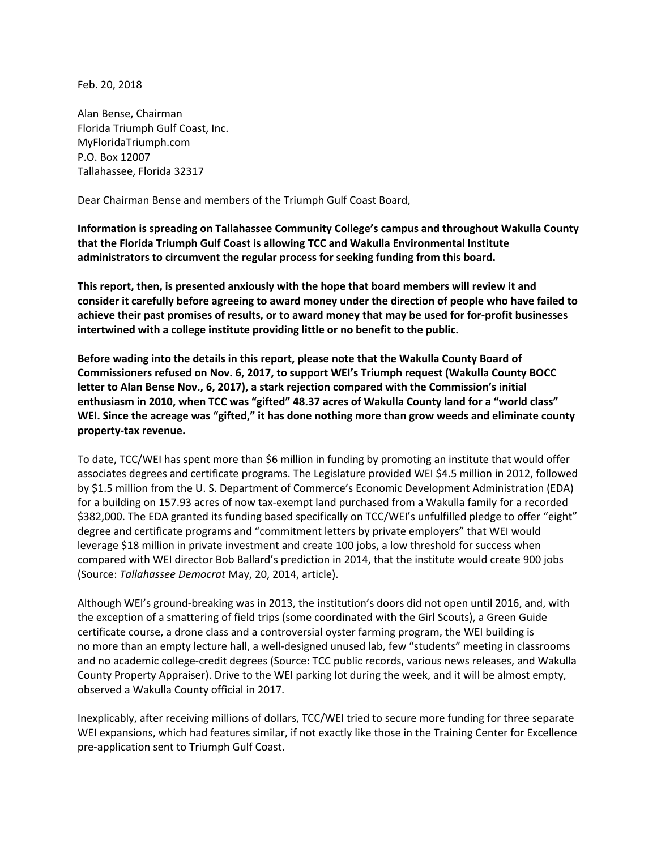Feb. 20, 2018

Alan Bense, Chairman Florida Triumph Gulf Coast, Inc. MyFloridaTriumph.com P.O. Box 12007 Tallahassee, Florida 32317

Dear Chairman Bense and members of the Triumph Gulf Coast Board,

**Information is spreading on Tallahassee Community College's campus and throughout Wakulla County that the Florida Triumph Gulf Coast is allowing TCC and Wakulla Environmental Institute administrators to circumvent the regular process for seeking funding from this board.** 

**This report, then, is presented anxiously with the hope that board members will review it and consider it carefully before agreeing to award money under the direction of people who have failed to achieve their past promises of results, or to award money that may be used for for-profit businesses intertwined with a college institute providing little or no benefit to the public.**

**Before wading into the details in this report, please note that the Wakulla County Board of Commissioners refused on Nov. 6, 2017, to support WEI's Triumph request (Wakulla County BOCC letter to Alan Bense Nov., 6, 2017), a stark rejection compared with the Commission's initial enthusiasm in 2010, when TCC was "gifted" 48.37 acres of Wakulla County land for a "world class" WEI. Since the acreage was "gifted," it has done nothing more than grow weeds and eliminate county property-tax revenue.**

To date, TCC/WEI has spent more than \$6 million in funding by promoting an institute that would offer associates degrees and certificate programs. The Legislature provided WEI \$4.5 million in 2012, followed by \$1.5 million from the U. S. Department of Commerce's Economic Development Administration (EDA) for a building on 157.93 acres of now tax-exempt land purchased from a Wakulla family for a recorded \$382,000. The EDA granted its funding based specifically on TCC/WEI's unfulfilled pledge to offer "eight" degree and certificate programs and "commitment letters by private employers" that WEI would leverage \$18 million in private investment and create 100 jobs, a low threshold for success when compared with WEI director Bob Ballard's prediction in 2014, that the institute would create 900 jobs (Source: *Tallahassee Democrat* May, 20, 2014, article).

Although WEI's ground-breaking was in 2013, the institution's doors did not open until 2016, and, with the exception of a smattering of field trips (some coordinated with the Girl Scouts), a Green Guide certificate course, a drone class and a controversial oyster farming program, the WEI building is no more than an empty lecture hall, a well-designed unused lab, few "students" meeting in classrooms and no academic college-credit degrees (Source: TCC public records, various news releases, and Wakulla County Property Appraiser). Drive to the WEI parking lot during the week, and it will be almost empty, observed a Wakulla County official in 2017.

Inexplicably, after receiving millions of dollars, TCC/WEI tried to secure more funding for three separate WEI expansions, which had features similar, if not exactly like those in the Training Center for Excellence pre-application sent to Triumph Gulf Coast.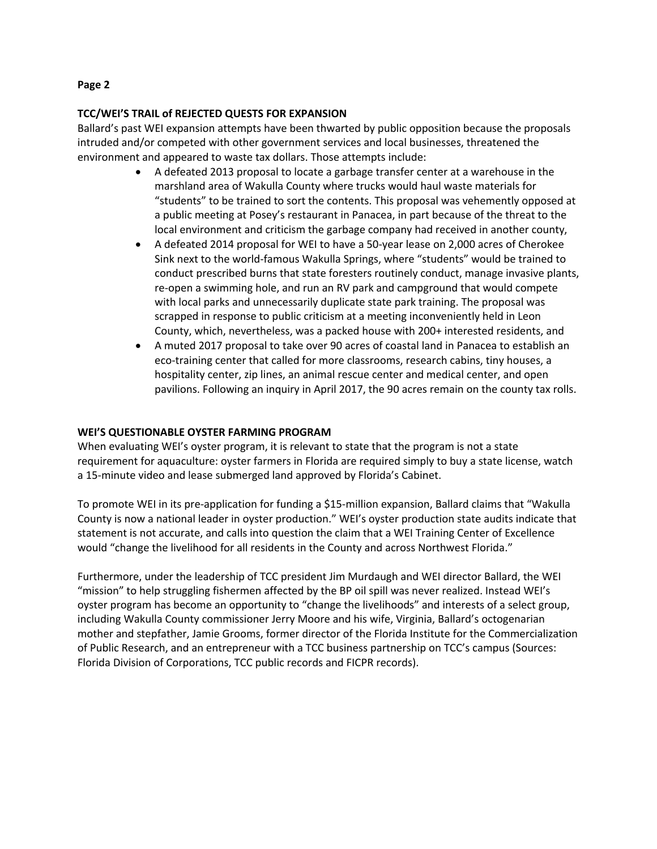# **TCC/WEI'S TRAIL of REJECTED QUESTS FOR EXPANSION**

Ballard's past WEI expansion attempts have been thwarted by public opposition because the proposals intruded and/or competed with other government services and local businesses, threatened the environment and appeared to waste tax dollars. Those attempts include:

- A defeated 2013 proposal to locate a garbage transfer center at a warehouse in the marshland area of Wakulla County where trucks would haul waste materials for "students" to be trained to sort the contents. This proposal was vehemently opposed at a public meeting at Posey's restaurant in Panacea, in part because of the threat to the local environment and criticism the garbage company had received in another county,
- A defeated 2014 proposal for WEI to have a 50-year lease on 2,000 acres of Cherokee Sink next to the world-famous Wakulla Springs, where "students" would be trained to conduct prescribed burns that state foresters routinely conduct, manage invasive plants, re-open a swimming hole, and run an RV park and campground that would compete with local parks and unnecessarily duplicate state park training. The proposal was scrapped in response to public criticism at a meeting inconveniently held in Leon County, which, nevertheless, was a packed house with 200+ interested residents, and
- A muted 2017 proposal to take over 90 acres of coastal land in Panacea to establish an eco-training center that called for more classrooms, research cabins, tiny houses, a hospitality center, zip lines, an animal rescue center and medical center, and open pavilions. Following an inquiry in April 2017, the 90 acres remain on the county tax rolls.

# **WEI'S QUESTIONABLE OYSTER FARMING PROGRAM**

When evaluating WEI's oyster program, it is relevant to state that the program is not a state requirement for aquaculture: oyster farmers in Florida are required simply to buy a state license, watch a 15-minute video and lease submerged land approved by Florida's Cabinet.

To promote WEI in its pre-application for funding a \$15-million expansion, Ballard claims that "Wakulla County is now a national leader in oyster production." WEI's oyster production state audits indicate that statement is not accurate, and calls into question the claim that a WEI Training Center of Excellence would "change the livelihood for all residents in the County and across Northwest Florida."

Furthermore, under the leadership of TCC president Jim Murdaugh and WEI director Ballard, the WEI "mission" to help struggling fishermen affected by the BP oil spill was never realized. Instead WEI's oyster program has become an opportunity to "change the livelihoods" and interests of a select group, including Wakulla County commissioner Jerry Moore and his wife, Virginia, Ballard's octogenarian mother and stepfather, Jamie Grooms, former director of the Florida Institute for the Commercialization of Public Research, and an entrepreneur with a TCC business partnership on TCC's campus (Sources: Florida Division of Corporations, TCC public records and FICPR records).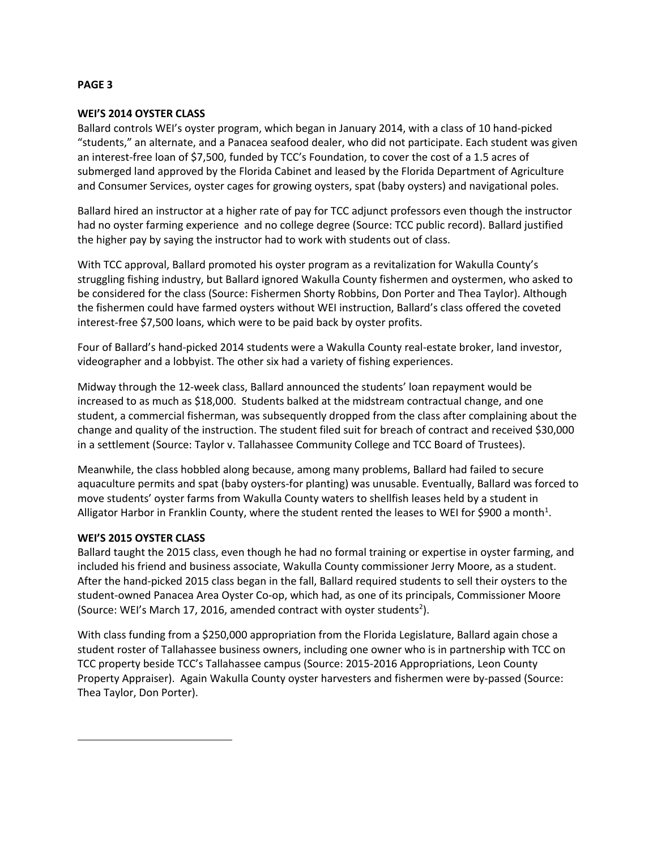## **PAGE 3**

# **WEI'S 2014 OYSTER CLASS**

Ballard controls WEI's oyster program, which began in January 2014, with a class of 10 hand-picked "students," an alternate, and a Panacea seafood dealer, who did not participate. Each student was given an interest-free loan of \$7,500, funded by TCC's Foundation, to cover the cost of a 1.5 acres of submerged land approved by the Florida Cabinet and leased by the Florida Department of Agriculture and Consumer Services, oyster cages for growing oysters, spat (baby oysters) and navigational poles.

Ballard hired an instructor at a higher rate of pay for TCC adjunct professors even though the instructor had no oyster farming experience and no college degree (Source: TCC public record). Ballard justified the higher pay by saying the instructor had to work with students out of class.

With TCC approval, Ballard promoted his oyster program as a revitalization for Wakulla County's struggling fishing industry, but Ballard ignored Wakulla County fishermen and oystermen, who asked to be considered for the class (Source: Fishermen Shorty Robbins, Don Porter and Thea Taylor). Although the fishermen could have farmed oysters without WEI instruction, Ballard's class offered the coveted interest-free \$7,500 loans, which were to be paid back by oyster profits.

Four of Ballard's hand-picked 2014 students were a Wakulla County real-estate broker, land investor, videographer and a lobbyist. The other six had a variety of fishing experiences.

Midway through the 12-week class, Ballard announced the students' loan repayment would be increased to as much as \$18,000. Students balked at the midstream contractual change, and one student, a commercial fisherman, was subsequently dropped from the class after complaining about the change and quality of the instruction. The student filed suit for breach of contract and received \$30,000 in a settlement (Source: Taylor v. Tallahassee Community College and TCC Board of Trustees).

Meanwhile, the class hobbled along because, among many problems, Ballard had failed to secure aquaculture permits and spat (baby oysters-for planting) was unusable. Eventually, Ballard was forced to move students' oyster farms from Wakulla County waters to shellfish leases held by a student in Alligator Harbor in Franklin County, where the student rented the leases to WEI for \$900 a month<sup>1</sup>.

#### **WEI'S 2015 OYSTER CLASS**

 $\overline{a}$ 

Ballard taught the 2015 class, even though he had no formal training or expertise in oyster farming, and included his friend and business associate, Wakulla County commissioner Jerry Moore, as a student. After the hand-picked 2015 class began in the fall, Ballard required students to sell their oysters to the student-owned Panacea Area Oyster Co-op, which had, as one of its principals, Commissioner Moore (Source: WEI's March 17, 2016, amended contract with oyster students<sup>2</sup>).

With class funding from a \$250,000 appropriation from the Florida Legislature, Ballard again chose a student roster of Tallahassee business owners, including one owner who is in partnership with TCC on TCC property beside TCC's Tallahassee campus (Source: 2015-2016 Appropriations, Leon County Property Appraiser). Again Wakulla County oyster harvesters and fishermen were by-passed (Source: Thea Taylor, Don Porter).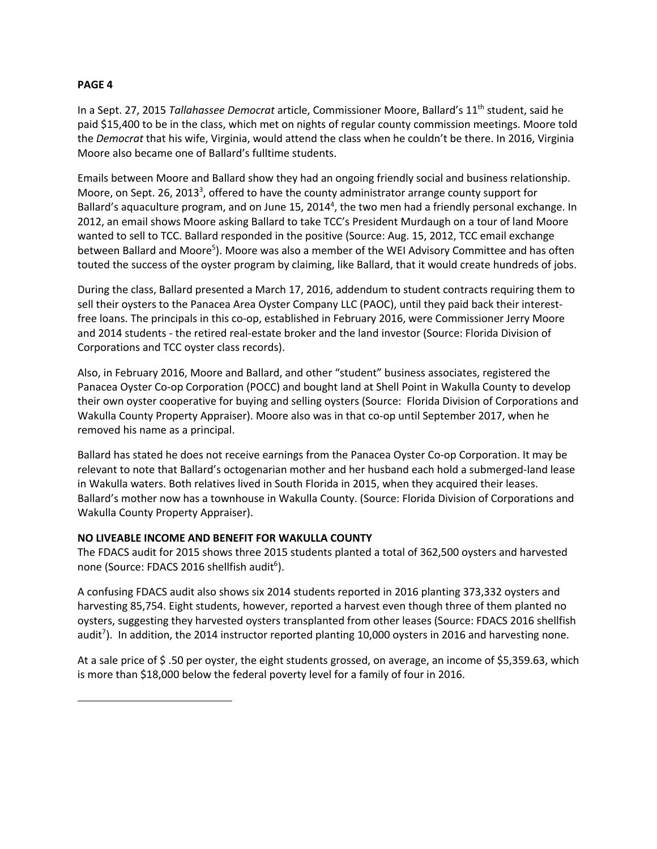# **PAGE 4**

l

In a Sept. 27, 2015 *Tallahassee Democrat* article, Commissioner Moore, Ballard's 11th student, said he paid \$15,400 to be in the class, which met on nights of regular county commission meetings. Moore told the *Democrat* that his wife, Virginia, would attend the class when he couldn't be there. In 2016, Virginia Moore also became one of Ballard's fulltime students.

Emails between Moore and Ballard show they had an ongoing friendly social and business relationship. Moore, on Sept. 26, 2013<sup>3</sup>, offered to have the county administrator arrange county support for Ballard's aquaculture program, and on June 15, 2014<sup>4</sup>, the two men had a friendly personal exchange. In 2012, an email shows Moore asking Ballard to take TCC's President Murdaugh on a tour of land Moore wanted to sell to TCC. Ballard responded in the positive (Source: Aug. 15, 2012, TCC email exchange between Ballard and Moore<sup>5</sup>). Moore was also a member of the WEI Advisory Committee and has often touted the success of the oyster program by claiming, like Ballard, that it would create hundreds of jobs.

During the class, Ballard presented a March 17, 2016, addendum to student contracts requiring them to sell their oysters to the Panacea Area Oyster Company LLC (PAOC), until they paid back their interestfree loans. The principals in this co-op, established in February 2016, were Commissioner Jerry Moore and 2014 students - the retired real-estate broker and the land investor (Source: Florida Division of Corporations and TCC oyster class records).

Also, in February 2016, Moore and Ballard, and other "student" business associates, registered the Panacea Oyster Co-op Corporation (POCC) and bought land at Shell Point in Wakulla County to develop their own oyster cooperative for buying and selling oysters (Source: Florida Division of Corporations and Wakulla County Property Appraiser). Moore also was in that co-op until September 2017, when he removed his name as a principal.

Ballard has stated he does not receive earnings from the Panacea Oyster Co-op Corporation. It may be relevant to note that Ballard's octogenarian mother and her husband each hold a submerged-land lease in Wakulla waters. Both relatives lived in South Florida in 2015, when they acquired their leases. Ballard's mother now has a townhouse in Wakulla County. (Source: Florida Division of Corporations and Wakulla County Property Appraiser).

# **NO LIVEABLE INCOME AND BENEFIT FOR WAKULLA COUNTY**

The FDACS audit for 2015 shows three 2015 students planted a total of 362,500 oysters and harvested none (Source: FDACS 2016 shellfish audit<sup>6</sup>).

A confusing FDACS audit also shows six 2014 students reported in 2016 planting 373,332 oysters and harvesting 85,754. Eight students, however, reported a harvest even though three of them planted no oysters, suggesting they harvested oysters transplanted from other leases (Source: FDACS 2016 shellfish audit<sup>7</sup>). In addition, the 2014 instructor reported planting 10,000 oysters in 2016 and harvesting none.

At a sale price of \$ .50 per oyster, the eight students grossed, on average, an income of \$5,359.63, which is more than \$18,000 below the federal poverty level for a family of four in 2016.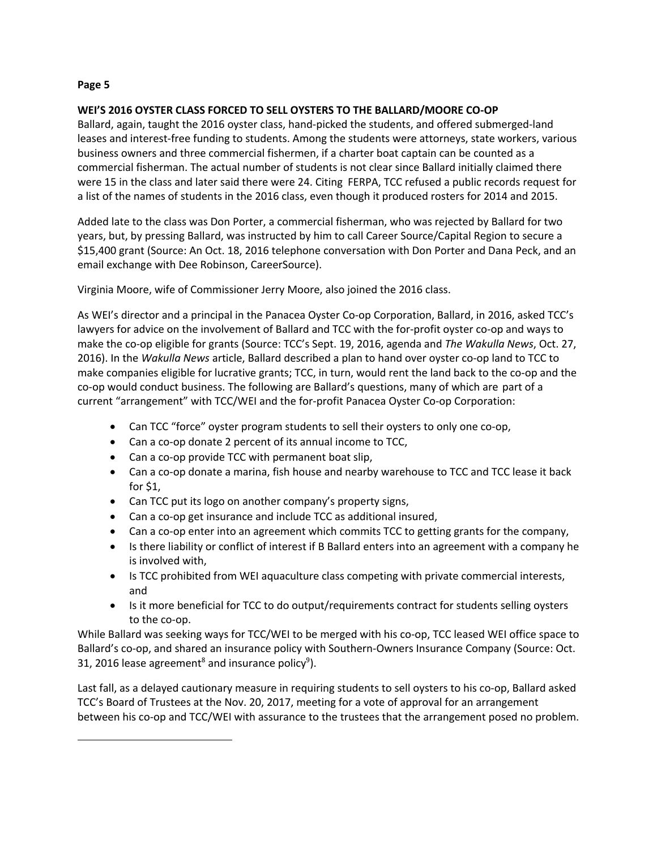$\overline{a}$ 

# **WEI'S 2016 OYSTER CLASS FORCED TO SELL OYSTERS TO THE BALLARD/MOORE CO-OP**

Ballard, again, taught the 2016 oyster class, hand-picked the students, and offered submerged-land leases and interest-free funding to students. Among the students were attorneys, state workers, various business owners and three commercial fishermen, if a charter boat captain can be counted as a commercial fisherman. The actual number of students is not clear since Ballard initially claimed there were 15 in the class and later said there were 24. Citing FERPA, TCC refused a public records request for a list of the names of students in the 2016 class, even though it produced rosters for 2014 and 2015.

Added late to the class was Don Porter, a commercial fisherman, who was rejected by Ballard for two years, but, by pressing Ballard, was instructed by him to call Career Source/Capital Region to secure a \$15,400 grant (Source: An Oct. 18, 2016 telephone conversation with Don Porter and Dana Peck, and an email exchange with Dee Robinson, CareerSource).

Virginia Moore, wife of Commissioner Jerry Moore, also joined the 2016 class.

As WEI's director and a principal in the Panacea Oyster Co-op Corporation, Ballard, in 2016, asked TCC's lawyers for advice on the involvement of Ballard and TCC with the for-profit oyster co-op and ways to make the co-op eligible for grants (Source: TCC's Sept. 19, 2016, agenda and *The Wakulla News*, Oct. 27, 2016). In the *Wakulla News* article, Ballard described a plan to hand over oyster co-op land to TCC to make companies eligible for lucrative grants; TCC, in turn, would rent the land back to the co-op and the co-op would conduct business. The following are Ballard's questions, many of which are part of a current "arrangement" with TCC/WEI and the for-profit Panacea Oyster Co-op Corporation:

- Can TCC "force" oyster program students to sell their oysters to only one co-op,
- Can a co-op donate 2 percent of its annual income to TCC,
- Can a co-op provide TCC with permanent boat slip,
- Can a co-op donate a marina, fish house and nearby warehouse to TCC and TCC lease it back for \$1,
- Can TCC put its logo on another company's property signs,
- Can a co-op get insurance and include TCC as additional insured,
- Can a co-op enter into an agreement which commits TCC to getting grants for the company,
- Is there liability or conflict of interest if B Ballard enters into an agreement with a company he is involved with,
- Is TCC prohibited from WEI aquaculture class competing with private commercial interests, and
- Is it more beneficial for TCC to do output/requirements contract for students selling oysters to the co-op.

While Ballard was seeking ways for TCC/WEI to be merged with his co-op, TCC leased WEI office space to Ballard's co-op, and shared an insurance policy with Southern-Owners Insurance Company (Source: Oct. 31, 2016 lease agreement<sup>8</sup> and insurance policy<sup>9</sup>).

Last fall, as a delayed cautionary measure in requiring students to sell oysters to his co-op, Ballard asked TCC's Board of Trustees at the Nov. 20, 2017, meeting for a vote of approval for an arrangement between his co-op and TCC/WEI with assurance to the trustees that the arrangement posed no problem.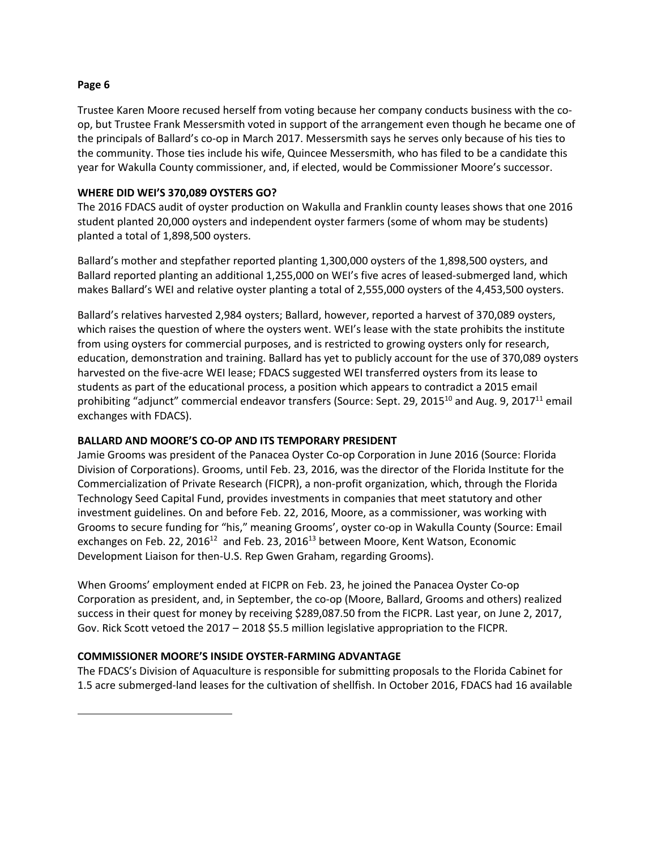$\overline{a}$ 

Trustee Karen Moore recused herself from voting because her company conducts business with the coop, but Trustee Frank Messersmith voted in support of the arrangement even though he became one of the principals of Ballard's co-op in March 2017. Messersmith says he serves only because of his ties to the community. Those ties include his wife, Quincee Messersmith, who has filed to be a candidate this year for Wakulla County commissioner, and, if elected, would be Commissioner Moore's successor.

# **WHERE DID WEI'S 370,089 OYSTERS GO?**

The 2016 FDACS audit of oyster production on Wakulla and Franklin county leases shows that one 2016 student planted 20,000 oysters and independent oyster farmers (some of whom may be students) planted a total of 1,898,500 oysters.

Ballard's mother and stepfather reported planting 1,300,000 oysters of the 1,898,500 oysters, and Ballard reported planting an additional 1,255,000 on WEI's five acres of leased-submerged land, which makes Ballard's WEI and relative oyster planting a total of 2,555,000 oysters of the 4,453,500 oysters.

Ballard's relatives harvested 2,984 oysters; Ballard, however, reported a harvest of 370,089 oysters, which raises the question of where the oysters went. WEI's lease with the state prohibits the institute from using oysters for commercial purposes, and is restricted to growing oysters only for research, education, demonstration and training. Ballard has yet to publicly account for the use of 370,089 oysters harvested on the five-acre WEI lease; FDACS suggested WEI transferred oysters from its lease to students as part of the educational process, a position which appears to contradict a 2015 email prohibiting "adjunct" commercial endeavor transfers (Source: Sept. 29, 2015<sup>10</sup> and Aug. 9, 2017<sup>11</sup> email exchanges with FDACS).

# **BALLARD AND MOORE'S CO-OP AND ITS TEMPORARY PRESIDENT**

Jamie Grooms was president of the Panacea Oyster Co-op Corporation in June 2016 (Source: Florida Division of Corporations). Grooms, until Feb. 23, 2016, was the director of the Florida Institute for the Commercialization of Private Research (FICPR), a non-profit organization, which, through the Florida Technology Seed Capital Fund, provides investments in companies that meet statutory and other investment guidelines. On and before Feb. 22, 2016, Moore, as a commissioner, was working with Grooms to secure funding for "his," meaning Grooms', oyster co-op in Wakulla County (Source: Email exchanges on Feb. 22, 2016<sup>12</sup> and Feb. 23, 2016<sup>13</sup> between Moore, Kent Watson, Economic Development Liaison for then-U.S. Rep Gwen Graham, regarding Grooms).

When Grooms' employment ended at FICPR on Feb. 23, he joined the Panacea Oyster Co-op Corporation as president, and, in September, the co-op (Moore, Ballard, Grooms and others) realized success in their quest for money by receiving \$289,087.50 from the FICPR. Last year, on June 2, 2017, Gov. Rick Scott vetoed the 2017 – 2018 \$5.5 million legislative appropriation to the FICPR.

# **COMMISSIONER MOORE'S INSIDE OYSTER-FARMING ADVANTAGE**

The FDACS's Division of Aquaculture is responsible for submitting proposals to the Florida Cabinet for 1.5 acre submerged-land leases for the cultivation of shellfish. In October 2016, FDACS had 16 available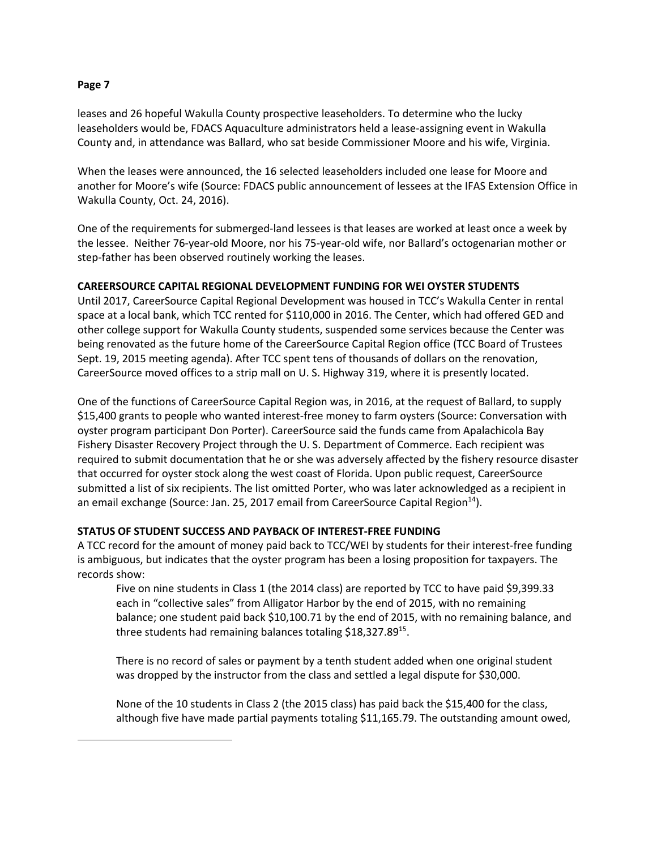$\overline{a}$ 

leases and 26 hopeful Wakulla County prospective leaseholders. To determine who the lucky leaseholders would be, FDACS Aquaculture administrators held a lease-assigning event in Wakulla County and, in attendance was Ballard, who sat beside Commissioner Moore and his wife, Virginia.

When the leases were announced, the 16 selected leaseholders included one lease for Moore and another for Moore's wife (Source: FDACS public announcement of lessees at the IFAS Extension Office in Wakulla County, Oct. 24, 2016).

One of the requirements for submerged-land lessees is that leases are worked at least once a week by the lessee. Neither 76-year-old Moore, nor his 75-year-old wife, nor Ballard's octogenarian mother or step-father has been observed routinely working the leases.

# **CAREERSOURCE CAPITAL REGIONAL DEVELOPMENT FUNDING FOR WEI OYSTER STUDENTS**

Until 2017, CareerSource Capital Regional Development was housed in TCC's Wakulla Center in rental space at a local bank, which TCC rented for \$110,000 in 2016. The Center, which had offered GED and other college support for Wakulla County students, suspended some services because the Center was being renovated as the future home of the CareerSource Capital Region office (TCC Board of Trustees Sept. 19, 2015 meeting agenda). After TCC spent tens of thousands of dollars on the renovation, CareerSource moved offices to a strip mall on U. S. Highway 319, where it is presently located.

One of the functions of CareerSource Capital Region was, in 2016, at the request of Ballard, to supply \$15,400 grants to people who wanted interest-free money to farm oysters (Source: Conversation with oyster program participant Don Porter). CareerSource said the funds came from Apalachicola Bay Fishery Disaster Recovery Project through the U. S. Department of Commerce. Each recipient was required to submit documentation that he or she was adversely affected by the fishery resource disaster that occurred for oyster stock along the west coast of Florida. Upon public request, CareerSource submitted a list of six recipients. The list omitted Porter, who was later acknowledged as a recipient in an email exchange (Source: Jan. 25, 2017 email from CareerSource Capital Region<sup>14</sup>).

# **STATUS OF STUDENT SUCCESS AND PAYBACK OF INTEREST-FREE FUNDING**

A TCC record for the amount of money paid back to TCC/WEI by students for their interest-free funding is ambiguous, but indicates that the oyster program has been a losing proposition for taxpayers. The records show:

Five on nine students in Class 1 (the 2014 class) are reported by TCC to have paid \$9,399.33 each in "collective sales" from Alligator Harbor by the end of 2015, with no remaining balance; one student paid back \$10,100.71 by the end of 2015, with no remaining balance, and three students had remaining balances totaling \$18,327.89<sup>15</sup>.

There is no record of sales or payment by a tenth student added when one original student was dropped by the instructor from the class and settled a legal dispute for \$30,000.

None of the 10 students in Class 2 (the 2015 class) has paid back the \$15,400 for the class, although five have made partial payments totaling \$11,165.79. The outstanding amount owed,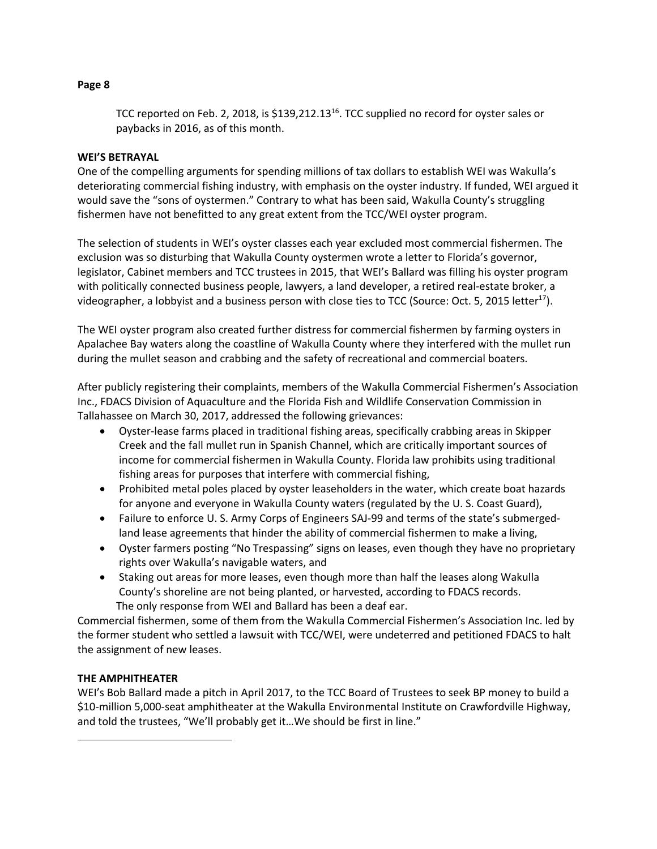# **WEI'S BETRAYAL**

paybacks in 2016, as of this month.

One of the compelling arguments for spending millions of tax dollars to establish WEI was Wakulla's deteriorating commercial fishing industry, with emphasis on the oyster industry. If funded, WEI argued it would save the "sons of oystermen." Contrary to what has been said, Wakulla County's struggling fishermen have not benefitted to any great extent from the TCC/WEI oyster program.

TCC reported on Feb. 2, 2018, is  $$139,212.13^{16}$ . TCC supplied no record for oyster sales or

The selection of students in WEI's oyster classes each year excluded most commercial fishermen. The exclusion was so disturbing that Wakulla County oystermen wrote a letter to Florida's governor, legislator, Cabinet members and TCC trustees in 2015, that WEI's Ballard was filling his oyster program with politically connected business people, lawyers, a land developer, a retired real-estate broker, a videographer, a lobbyist and a business person with close ties to TCC (Source: Oct. 5, 2015 letter<sup>17</sup>).

The WEI oyster program also created further distress for commercial fishermen by farming oysters in Apalachee Bay waters along the coastline of Wakulla County where they interfered with the mullet run during the mullet season and crabbing and the safety of recreational and commercial boaters.

After publicly registering their complaints, members of the Wakulla Commercial Fishermen's Association Inc., FDACS Division of Aquaculture and the Florida Fish and Wildlife Conservation Commission in Tallahassee on March 30, 2017, addressed the following grievances:

- Oyster-lease farms placed in traditional fishing areas, specifically crabbing areas in Skipper Creek and the fall mullet run in Spanish Channel, which are critically important sources of income for commercial fishermen in Wakulla County. Florida law prohibits using traditional fishing areas for purposes that interfere with commercial fishing,
- Prohibited metal poles placed by oyster leaseholders in the water, which create boat hazards for anyone and everyone in Wakulla County waters (regulated by the U. S. Coast Guard),
- Failure to enforce U. S. Army Corps of Engineers SAJ-99 and terms of the state's submergedland lease agreements that hinder the ability of commercial fishermen to make a living,
- Oyster farmers posting "No Trespassing" signs on leases, even though they have no proprietary rights over Wakulla's navigable waters, and
- Staking out areas for more leases, even though more than half the leases along Wakulla County's shoreline are not being planted, or harvested, according to FDACS records. The only response from WEI and Ballard has been a deaf ear.

Commercial fishermen, some of them from the Wakulla Commercial Fishermen's Association Inc. led by the former student who settled a lawsuit with TCC/WEI, were undeterred and petitioned FDACS to halt the assignment of new leases.

# **THE AMPHITHEATER**

 $\overline{a}$ 

WEI's Bob Ballard made a pitch in April 2017, to the TCC Board of Trustees to seek BP money to build a \$10-million 5,000-seat amphitheater at the Wakulla Environmental Institute on Crawfordville Highway, and told the trustees, "We'll probably get it…We should be first in line."

#### **Page 8**